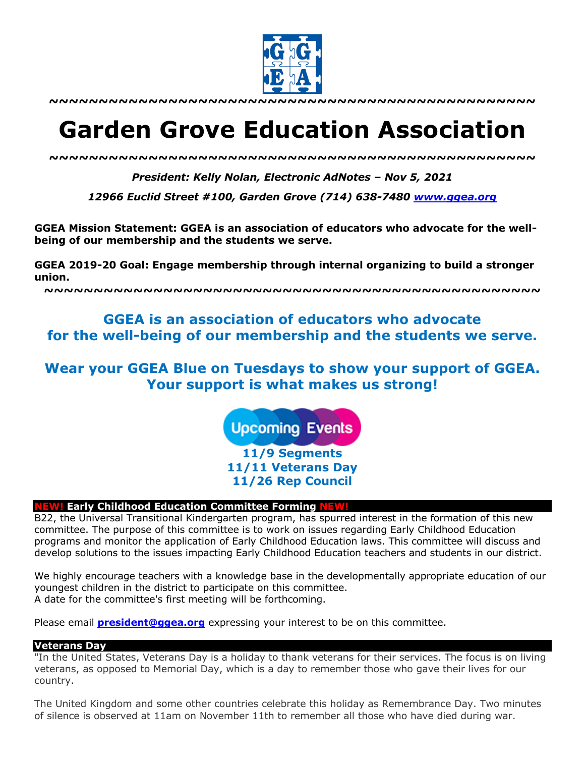

**~~~~~~~~~~~~~~~~~~~~~~~~~~~~~~~~~~~~~~~~~~~~~~~~~**

# **Garden Grove Education Association**

*~~~~~~~~~~~~~~~~~~~~~~~~~~~~~~~~~~~~~~~~~~~~~~~~~*

*President: Kelly Nolan, Electronic AdNotes – Nov 5, 2021*

*12966 Euclid Street #100, Garden Grove (714) 638-7480 www.ggea.org*

**GGEA Mission Statement: GGEA is an association of educators who advocate for the wellbeing of our membership and the students we serve.** 

**GGEA 2019-20 Goal: Engage membership through internal organizing to build a stronger union.**

**~~~~~~~~~~~~~~~~~~~~~~~~~~~~~~~~~~~~~~~~~~~~~~~~~~**

# **GGEA is an association of educators who advocate for the well-being of our membership and the students we serve.**

# **Wear your GGEA Blue on Tuesdays to show your support of GGEA. Your support is what makes us strong!**

**Upcoming Events** 

**11/9 Segments 11/11 Veterans Day 11/26 Rep Council**

# **NEW! Early Childhood Education Committee Forming NEW!**

B22, the Universal Transitional Kindergarten program, has spurred interest in the formation of this new committee. The purpose of this committee is to work on issues regarding Early Childhood Education programs and monitor the application of Early Childhood Education laws. This committee will discuss and develop solutions to the issues impacting Early Childhood Education teachers and students in our district.

We highly encourage teachers with a knowledge base in the developmentally appropriate education of our youngest children in the district to participate on this committee. A date for the committee's first meeting will be forthcoming.

Please email **president@ggea.org** expressing your interest to be on this committee.

#### **Veterans Day**

"In the United States, Veterans Day is a holiday to thank veterans for their services. The focus is on living veterans, as opposed to Memorial Day, which is a day to remember those who gave their lives for our country.

The United Kingdom and some other countries celebrate this holiday as Remembrance Day. Two minutes of silence is observed at 11am on November 11th to remember all those who have died during war.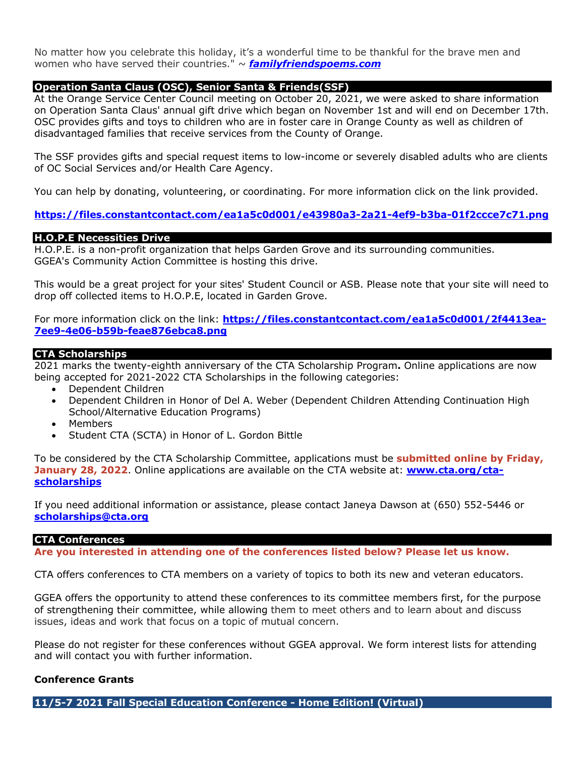No matter how you celebrate this holiday, it's a wonderful time to be thankful for the brave men and women who have served their countries." *~ familyfriendspoems.com*

#### **Operation Santa Claus (OSC), Senior Santa & Friends(SSF)**

At the Orange Service Center Council meeting on October 20, 2021, we were asked to share information on Operation Santa Claus' annual gift drive which began on November 1st and will end on December 17th. OSC provides gifts and toys to children who are in foster care in Orange County as well as children of disadvantaged families that receive services from the County of Orange.

The SSF provides gifts and special request items to low-income or severely disabled adults who are clients of OC Social Services and/or Health Care Agency.

You can help by donating, volunteering, or coordinating. For more information click on the link provided.

#### **https://files.constantcontact.com/ea1a5c0d001/e43980a3-2a21-4ef9-b3ba-01f2ccce7c71.png**

#### **H.O.P.E Necessities Drive**

H.O.P.E. is a non-profit organization that helps Garden Grove and its surrounding communities. GGEA's Community Action Committee is hosting this drive.

This would be a great project for your sites' Student Council or ASB. Please note that your site will need to drop off collected items to H.O.P.E, located in Garden Grove.

For more information click on the link: **https://files.constantcontact.com/ea1a5c0d001/2f4413ea-7ee9-4e06-b59b-feae876ebca8.png**

#### **CTA Scholarships**

2021 marks the twenty-eighth anniversary of the CTA Scholarship Program**.** Online applications are now being accepted for 2021-2022 CTA Scholarships in the following categories:

- Dependent Children
- Dependent Children in Honor of Del A. Weber (Dependent Children Attending Continuation High School/Alternative Education Programs)
- Members
- Student CTA (SCTA) in Honor of L. Gordon Bittle

To be considered by the CTA Scholarship Committee, applications must be **submitted online by Friday, January 28, 2022.** Online applications are available on the CTA website at: **www.cta.org/ctascholarships**

If you need additional information or assistance, please contact Janeya Dawson at (650) 552-5446 or **scholarships@cta.org**

#### **CTA Conferences**

**Are you interested in attending one of the conferences listed below? Please let us know.**

CTA offers conferences to CTA members on a variety of topics to both its new and veteran educators.

GGEA offers the opportunity to attend these conferences to its committee members first, for the purpose of strengthening their committee, while allowing them to meet others and to learn about and discuss issues, ideas and work that focus on a topic of mutual concern.

Please do not register for these conferences without GGEA approval. We form interest lists for attending and will contact you with further information.

#### **Conference Grants**

**11/5-7 2021 Fall Special Education Conference - Home Edition! (Virtual)**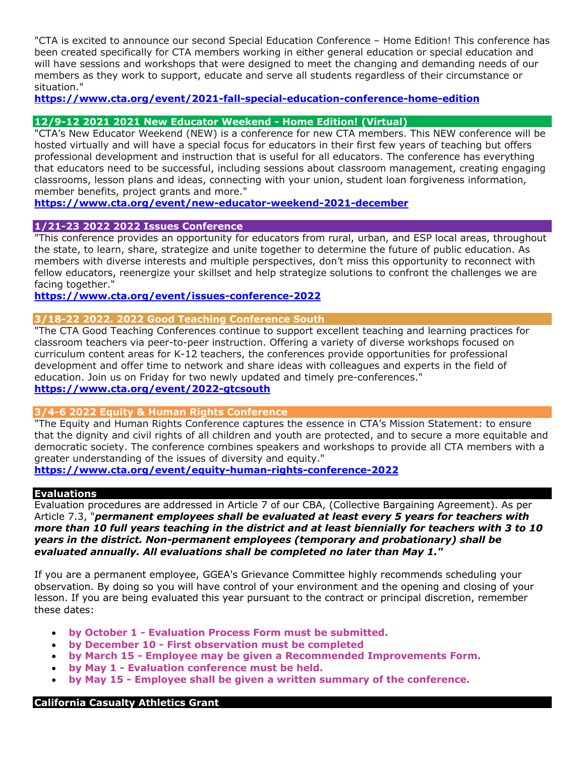"CTA is excited to announce our second Special Education Conference – Home Edition! This conference has been created specifically for CTA members working in either general education or special education and will have sessions and workshops that were designed to meet the changing and demanding needs of our members as they work to support, educate and serve all students regardless of their circumstance or situation."

**https://www.cta.org/event/2021-fall-special-education-conference-home-edition**

## **12/9-12 2021 2021 New Educator Weekend - Home Edition! (Virtual)**

"CTA's New Educator Weekend (NEW) is a conference for new CTA members. This NEW conference will be hosted virtually and will have a special focus for educators in their first few years of teaching but offers professional development and instruction that is useful for all educators. The conference has everything that educators need to be successful, including sessions about classroom management, creating engaging classrooms, lesson plans and ideas, connecting with your union, student loan forgiveness information, member benefits, project grants and more."

**https://www.cta.org/event/new-educator-weekend-2021-december**

### **1/21-23 2022 2022 Issues Conference**

"This conference provides an opportunity for educators from rural, urban, and ESP local areas, throughout the state, to learn, share, strategize and unite together to determine the future of public education. As members with diverse interests and multiple perspectives, don't miss this opportunity to reconnect with fellow educators, reenergize your skillset and help strategize solutions to confront the challenges we are facing together."

#### **https://www.cta.org/event/issues-conference-2022**

### **3/18-22 2022. 2022 Good Teaching Conference South**

"The CTA Good Teaching Conferences continue to support excellent teaching and learning practices for classroom teachers via peer-to-peer instruction. Offering a variety of diverse workshops focused on curriculum content areas for K-12 teachers, the conferences provide opportunities for professional development and offer time to network and share ideas with colleagues and experts in the field of education. Join us on Friday for two newly updated and timely pre-conferences."

# **https://www.cta.org/event/2022-gtcsouth**

#### **3/4-6 2022 Equity & Human Rights Conference**

"The Equity and Human Rights Conference captures the essence in CTA's Mission Statement: to ensure that the dignity and civil rights of all children and youth are protected, and to secure a more equitable and democratic society. The conference combines speakers and workshops to provide all CTA members with a greater understanding of the issues of diversity and equity."

**https://www.cta.org/event/equity-human-rights-conference-2022**

#### **Evaluations**

Evaluation procedures are addressed in Article 7 of our CBA, (Collective Bargaining Agreement). As per Article 7.3, "*permanent employees shall be evaluated at least every 5 years for teachers with more than 10 full years teaching in the district and at least biennially for teachers with 3 to 10 years in the district. Non-permanent employees (temporary and probationary) shall be evaluated annually. All evaluations shall be completed no later than May 1."*

If you are a permanent employee, GGEA's Grievance Committee highly recommends scheduling your observation. By doing so you will have control of your environment and the opening and closing of your lesson. If you are being evaluated this year pursuant to the contract or principal discretion, remember these dates:

- **by October 1 - Evaluation Process Form must be submitted.**
- **by December 10 - First observation must be completed**
- **by March 15 - Employee may be given a Recommended Improvements Form.**
- **by May 1 - Evaluation conference must be held.**
- **by May 15 - Employee shall be given a written summary of the conference.**

#### **California Casualty Athletics Grant**